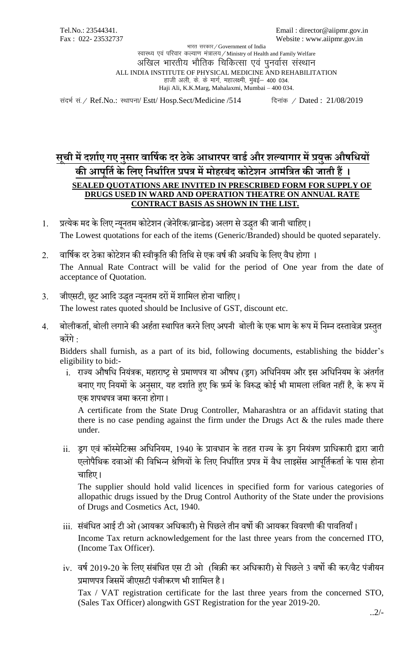Tel.No.: 23544341.<br>
Fax: 022-23532737<br>
Fax: 022-23532737<br>
Website: www.aiipmr.gov.in Website : www.aiipmr.gov.in

भारत सरकार / Government of India रवास्थ्य एवं परिवार कल्याण मंत्रालय / Ministry of Health and Family Welfare अखिल भारतीय भौतिक चिकित्सा एवं पुनर्वास संस्थान ALL INDIA INSTITUTE OF PHYSICAL MEDICINE AND REHABILITATION हाजी अली, के. के मार्ग, महालक्ष्मी, मुंबई – 400 034. Haji Ali, K.K.Marg, Mahalaxmi, Mumbai – 400 034.

संदर्भ सं. / Ref.No.: स्थापना/ Estt/ Hosp.Sect/Medicine /514 दिनांक / Dated : 21/08/2019

## **सच ू ी मेंदर्शाए गए नुसशर वशर्षाक दर ठेकेआधशरपर वशर्ाऔर र्ल्यशगशर मेंप्रयुक्त औषर्धयों की आप ू र्ताके र्िए र्नधशाररत प्रपत्र मेंमोहरबंद कोटेर्न आमंर्त्रत की जशती हैं । SEALED QUOTATIONS ARE INVITED IN PRESCRIBED FORM FOR SUPPLY OF DRUGS USED IN WARD AND OPERATION THEATRE ON ANNUAL RATE CONTRACT BASIS AS SHOWN IN THE LIST.**

- 1. प्रत्येक मद के लिए न्यूनतम कोटेशन (जेनेरिक/ब्रान्डेड) अलग से उद्धत की जानी चाहिए। The Lowest quotations for each of the items (Generic/Branded) should be quoted separately.
- 2. वार्षिक दर ठेका कोटेशन की स्वीकृति की तिथि से एक वर्ष की अवधि के लिए वैध होगा । The Annual Rate Contract will be valid for the period of One year from the date of acceptance of Quotation.
- 3. जीएसटी, छूट आदि उद्धृत न्यूनतम दरों में शामिल होना चाहिए।

The lowest rates quoted should be Inclusive of GST, discount etc.

4. बोलीकर्ता, बोली लगाने की अर्हता स्थापित करने लिए अपनी बोली के एक भाग के रूप में निम्न दस्तावेज़ प्रस्तुत किशगे :

Bidders shall furnish, as a part of its bid, following documents, establishing the bidder's eligibility to bid:-

i. राज्य औषधि नियंत्रक, महाराष्ट्र से प्रमाणपत्र या औषध (ड्रग) अधिनियम और इस अधिनियम के अंतर्गत बनाए गए नियमों के अनुसार, यह दर्शाते हुए कि फ़र्म के विरुद्ध कोई भी मामला लंबित नहीं है, के रूप में एक शपथपत्र जमा करना होगा।

A certificate from the State Drug Controller, Maharashtra or an affidavit stating that there is no case pending against the firm under the Drugs Act & the rules made there under.

<u>ii. ड</u>ग एवं कॉस्मेटिक्स अधिनियम, 1940 के प्रावधान के तहत राज्य के डग नियंत्रण प्राधिकारी द्वारा जारी एलोपैथिक दवाओं की विभिन्न श्रेणियों के लिए निर्धारित प्रपत्र में वैध लाइसेंस आपर्तिकर्ता के पास होना चाहिए।

The supplier should hold valid licences in specified form for various categories of allopathic drugs issued by the Drug Control Authority of the State under the provisions of Drugs and Cosmetics Act, 1940.

- iii. संबंधित आई टी ओ (आयकर अधिकारी) से पिछले तीन वर्षो की आयकर विवरणी की पावतियाँ। Income Tax return acknowledgement for the last three years from the concerned ITO, (Income Tax Officer).
- iv. वर्ष 2019-20 के लिए संबंधित एस टी ओ (बिक्री कर अधिकारी) से पिछले 3 वर्षो की कर/वैट पंजीयन प्रमाणपत्र जिसमें जीएसटी पंजीकरण भी शामिल है।

Tax / VAT registration certificate for the last three years from the concerned STO, (Sales Tax Officer) alongwith GST Registration for the year 2019-20.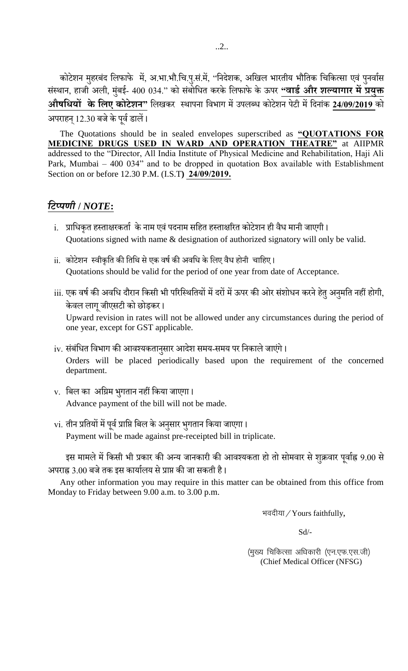कोटेशन मुहरबंद लिफाफे में, अ.भा.भौ.चि.पु.सं.में, ''निदेशक, अखिल भारतीय भौतिक चिकित्सा एवं पुनर्वास संस्थान, हार्जो अली, मुंबई- 400 034." को संबोधित करके लिफाफे के ऊपर **"वार्ड और शल्यागार में प्रयुक्त औषर्धयों के र्िए कोटेर्न"** लििकि स्िािना लवभाग मशउििब्ि कोटेशन िटेच मशलदनांक **24/09/2019** को अपराहन् 12.30 बजे के पूर्व डालें।

The Quotations should be in sealed envelopes superscribed as **"QUOTATIONS FOR MEDICINE DRUGS USED IN WARD AND OPERATION THEATRE"** at AIIPMR addressed to the "Director, All India Institute of Physical Medicine and Rehabilitation, Haji Ali Park, Mumbai – 400 034" and to be dropped in quotation Box available with Establishment Section on or before 12.30 P.M. (I.S.T**) 24/09/2019.**

## *टिप्पणी* **/** *NOTE***:**

- i. प्राधिकृत हस्ताक्षरकर्ता के नाम एवं पदनाम सहित हस्ताक्षरित कोटेशन ही वैध मानी जाएगी। Quotations signed with name & designation of authorized signatory will only be valid.
- ii. कोटेशन स्वीकृति की तिथि से एक वर्ष की अवधि के लिए वैध होनी चाहिए। Quotations should be valid for the period of one year from date of Acceptance.
- iii. एक वर्ष की अवधि दौरान किसी भी परिस्थितियों में दरों में ऊपर की ओर संशोधन करने हेतु अनुमति नहीं होगी, केवल लागू जीएसटी को छोड़कर। Upward revision in rates will not be allowed under any circumstances during the period of one year, except for GST applicable.
- $i$ v. संबंधित विभाग की आवश्यकतानुसार आदेश समय-समय पर निकाले जाएंगे। Orders will be placed periodically based upon the requirement of the concerned department.
- $\mathbf v$ . बिल का अग्रिम भुगतान नहीं किया जाएगा। Advance payment of the bill will not be made.
- $\rm{vi.}$  तीन प्रतियों में पूर्व प्राप्ति बिल के अनुसार भुगतान किया जाएगा। Payment will be made against pre-receipted bill in triplicate.

इस मामले में किसी भी प्रकार की अन्य जानकारी की आवश्यकता हो तो सोमवार से शुक्रवार पूर्वाह्न 9.00 से अपराह्न 3.00 बजे तक इस कार्यालय से प्राप्त की जा सकती है।

Any other information you may require in this matter can be obtained from this office from Monday to Friday between 9.00 a.m. to 3.00 p.m.

भवदीया $\angle$ Yours faithfully,

 $Sd$  -

(मुख्य चिकित्सा अधिकारी (एन.एफ.एस.जी) (Chief Medical Officer (NFSG)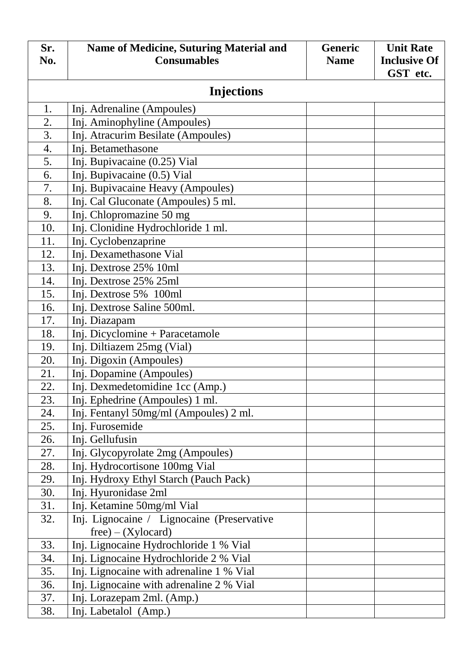| Sr. | <b>Name of Medicine, Suturing Material and</b> | <b>Generic</b> | <b>Unit Rate</b>    |
|-----|------------------------------------------------|----------------|---------------------|
| No. | <b>Consumables</b>                             | <b>Name</b>    | <b>Inclusive Of</b> |
|     |                                                |                | GST etc.            |
|     | <b>Injections</b>                              |                |                     |
| 1.  | Inj. Adrenaline (Ampoules)                     |                |                     |
| 2.  | Inj. Aminophyline (Ampoules)                   |                |                     |
| 3.  | Inj. Atracurim Besilate (Ampoules)             |                |                     |
| 4.  | Inj. Betamethasone                             |                |                     |
| 5.  | Inj. Bupivacaine (0.25) Vial                   |                |                     |
| 6.  | Inj. Bupivacaine (0.5) Vial                    |                |                     |
| 7.  | Inj. Bupivacaine Heavy (Ampoules)              |                |                     |
| 8.  | Inj. Cal Gluconate (Ampoules) 5 ml.            |                |                     |
| 9.  | Inj. Chlopromazine 50 mg                       |                |                     |
| 10. | Inj. Clonidine Hydrochloride 1 ml.             |                |                     |
| 11. | Inj. Cyclobenzaprine                           |                |                     |
| 12. | Inj. Dexamethasone Vial                        |                |                     |
| 13. | Inj. Dextrose 25% 10ml                         |                |                     |
| 14. | Inj. Dextrose 25% 25ml                         |                |                     |
| 15. | Inj. Dextrose 5% 100ml                         |                |                     |
| 16. | Inj. Dextrose Saline 500ml.                    |                |                     |
| 17. | Inj. Diazapam                                  |                |                     |
| 18. | Inj. Dicyclomine + Paracetamole                |                |                     |
| 19. | Inj. Diltiazem 25mg (Vial)                     |                |                     |
| 20. | Inj. Digoxin (Ampoules)                        |                |                     |
| 21. | Inj. Dopamine (Ampoules)                       |                |                     |
| 22. | Inj. Dexmedetomidine 1cc (Amp.)                |                |                     |
| 23. | Inj. Ephedrine (Ampoules) 1 ml.                |                |                     |
| 24. | Inj. Fentanyl 50mg/ml (Ampoules) 2 ml.         |                |                     |
| 25. | Inj. Furosemide                                |                |                     |
| 26. | Inj. Gellufusin                                |                |                     |
| 27. | Inj. Glycopyrolate 2mg (Ampoules)              |                |                     |
| 28. | Inj. Hydrocortisone 100mg Vial                 |                |                     |
| 29. | Inj. Hydroxy Ethyl Starch (Pauch Pack)         |                |                     |
| 30. | Inj. Hyuronidase 2ml                           |                |                     |
| 31. | Inj. Ketamine 50mg/ml Vial                     |                |                     |
| 32. | Inj. Lignocaine / Lignocaine (Preservative     |                |                     |
|     | $free$ – (Xylocard)                            |                |                     |
| 33. | Inj. Lignocaine Hydrochloride 1 % Vial         |                |                     |
| 34. | Inj. Lignocaine Hydrochloride 2 % Vial         |                |                     |
| 35. | Inj. Lignocaine with adrenaline 1 % Vial       |                |                     |
| 36. | Inj. Lignocaine with adrenaline 2 % Vial       |                |                     |
| 37. | Inj. Lorazepam 2ml. (Amp.)                     |                |                     |
| 38. | Inj. Labetalol (Amp.)                          |                |                     |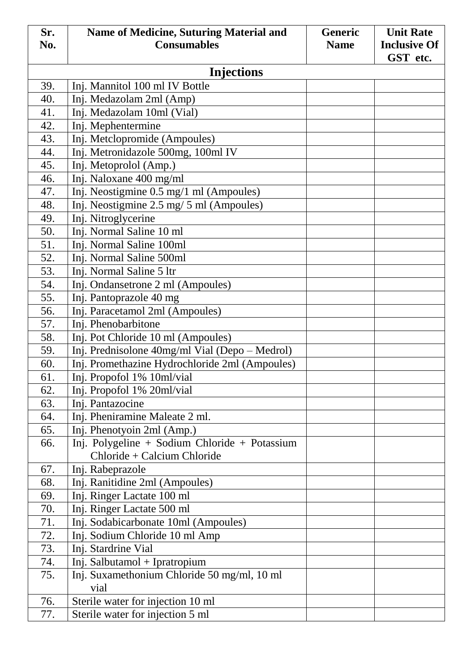| Sr. | <b>Name of Medicine, Suturing Material and</b> | <b>Generic</b> | <b>Unit Rate</b>    |
|-----|------------------------------------------------|----------------|---------------------|
| No. | <b>Consumables</b>                             | <b>Name</b>    | <b>Inclusive Of</b> |
|     |                                                |                | GST etc.            |
|     | <b>Injections</b>                              |                |                     |
| 39. | Inj. Mannitol 100 ml IV Bottle                 |                |                     |
| 40. | Inj. Medazolam 2ml (Amp)                       |                |                     |
| 41. | Inj. Medazolam 10ml (Vial)                     |                |                     |
| 42. | Inj. Mephentermine                             |                |                     |
| 43. | Inj. Metclopromide (Ampoules)                  |                |                     |
| 44. | Inj. Metronidazole 500mg, 100ml IV             |                |                     |
| 45. | Inj. Metoprolol (Amp.)                         |                |                     |
| 46. | Inj. Naloxane 400 mg/ml                        |                |                     |
| 47. | Inj. Neostigmine 0.5 mg/1 ml (Ampoules)        |                |                     |
| 48. | Inj. Neostigmine 2.5 mg/ 5 ml (Ampoules)       |                |                     |
| 49. | Inj. Nitroglycerine                            |                |                     |
| 50. | Inj. Normal Saline 10 ml                       |                |                     |
| 51. | Inj. Normal Saline 100ml                       |                |                     |
| 52. | Inj. Normal Saline 500ml                       |                |                     |
| 53. | Inj. Normal Saline 5 ltr                       |                |                     |
| 54. | Inj. Ondansetrone 2 ml (Ampoules)              |                |                     |
| 55. | Inj. Pantoprazole 40 mg                        |                |                     |
| 56. | Inj. Paracetamol 2ml (Ampoules)                |                |                     |
| 57. | Inj. Phenobarbitone                            |                |                     |
| 58. | Inj. Pot Chloride 10 ml (Ampoules)             |                |                     |
| 59. | Inj. Prednisolone 40mg/ml Vial (Depo – Medrol) |                |                     |
| 60. | Inj. Promethazine Hydrochloride 2ml (Ampoules) |                |                     |
| 61. | Inj. Propofol 1% 10ml/vial                     |                |                     |
| 62. | Inj. Propofol 1% 20ml/vial                     |                |                     |
| 63. | Inj. Pantazocine                               |                |                     |
| 64. | Inj. Pheniramine Maleate 2 ml.                 |                |                     |
| 65. | Inj. Phenotyoin 2ml (Amp.)                     |                |                     |
| 66. | Inj. Polygeline + Sodium Chloride + Potassium  |                |                     |
|     | Chloride + Calcium Chloride                    |                |                     |
| 67. | Inj. Rabeprazole                               |                |                     |
| 68. | Inj. Ranitidine 2ml (Ampoules)                 |                |                     |
| 69. | Inj. Ringer Lactate 100 ml                     |                |                     |
| 70. | Inj. Ringer Lactate 500 ml                     |                |                     |
| 71. | Inj. Sodabicarbonate 10ml (Ampoules)           |                |                     |
| 72. | Inj. Sodium Chloride 10 ml Amp                 |                |                     |
| 73. | Inj. Stardrine Vial                            |                |                     |
| 74. | Inj. Salbutamol + Ipratropium                  |                |                     |
| 75. | Inj. Suxamethonium Chloride 50 mg/ml, 10 ml    |                |                     |
|     | vial                                           |                |                     |
| 76. | Sterile water for injection 10 ml              |                |                     |
| 77. | Sterile water for injection 5 ml               |                |                     |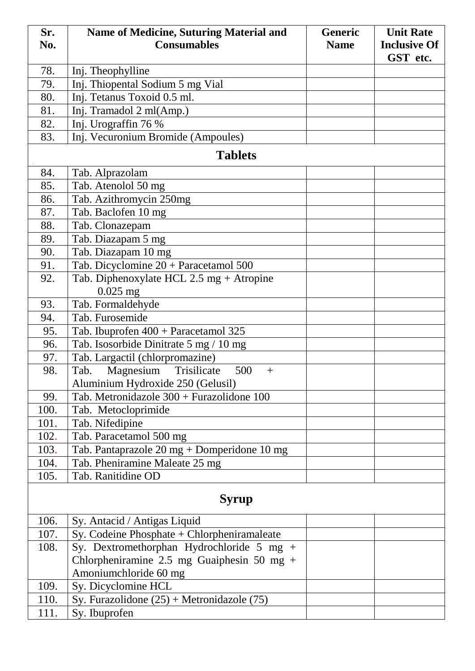| Sr.  | Name of Medicine, Suturing Material and         | <b>Generic</b> | <b>Unit Rate</b>    |
|------|-------------------------------------------------|----------------|---------------------|
| No.  | <b>Consumables</b>                              | <b>Name</b>    | <b>Inclusive Of</b> |
|      |                                                 |                | GST etc.            |
| 78.  | Inj. Theophylline                               |                |                     |
| 79.  | Inj. Thiopental Sodium 5 mg Vial                |                |                     |
| 80.  | Inj. Tetanus Toxoid 0.5 ml.                     |                |                     |
| 81.  | Inj. Tramadol 2 ml(Amp.)                        |                |                     |
| 82.  | Inj. Urograffin 76 %                            |                |                     |
| 83.  | Inj. Vecuronium Bromide (Ampoules)              |                |                     |
|      | <b>Tablets</b>                                  |                |                     |
| 84.  | Tab. Alprazolam                                 |                |                     |
| 85.  | Tab. Atenolol 50 mg                             |                |                     |
| 86.  | Tab. Azithromycin 250mg                         |                |                     |
| 87.  | Tab. Baclofen 10 mg                             |                |                     |
| 88.  | Tab. Clonazepam                                 |                |                     |
| 89.  | Tab. Diazapam 5 mg                              |                |                     |
| 90.  | Tab. Diazapam 10 mg                             |                |                     |
| 91.  | Tab. Dicyclomine $20 + \text{Paracetamol } 500$ |                |                     |
| 92.  | Tab. Diphenoxylate HCL 2.5 mg + Atropine        |                |                     |
|      | $0.025$ mg                                      |                |                     |
| 93.  | Tab. Formaldehyde                               |                |                     |
| 94.  | Tab. Furosemide                                 |                |                     |
| 95.  | Tab. Ibuprofen 400 + Paracetamol 325            |                |                     |
| 96.  | Tab. Isosorbide Dinitrate 5 mg / 10 mg          |                |                     |
| 97.  | Tab. Largactil (chlorpromazine)                 |                |                     |
| 98.  | Magnesium<br>Trisilicate<br>500<br>Tab.<br>$+$  |                |                     |
|      | Aluminium Hydroxide 250 (Gelusil)               |                |                     |
| 99.  | Tab. Metronidazole 300 + Furazolidone 100       |                |                     |
| 100. | Tab. Metocloprimide                             |                |                     |
| 101. | Tab. Nifedipine                                 |                |                     |
| 102. | Tab. Paracetamol 500 mg                         |                |                     |
| 103. | Tab. Pantaprazole 20 mg + Domperidone 10 mg     |                |                     |
| 104. | Tab. Pheniramine Maleate 25 mg                  |                |                     |
| 105. | Tab. Ranitidine OD                              |                |                     |
|      |                                                 |                |                     |
|      | <b>Syrup</b>                                    |                |                     |
| 106. | Sy. Antacid / Antigas Liquid                    |                |                     |
| 107. | Sy. Codeine Phosphate + Chlorpheniramaleate     |                |                     |
| 108. | Sy. Dextromethorphan Hydrochloride 5 mg +       |                |                     |
|      | Chlorpheniramine 2.5 mg Guaiphesin 50 mg +      |                |                     |
|      | Amoniumchloride 60 mg                           |                |                     |
| 109. | Sy. Dicyclomine HCL                             |                |                     |
| 110. | Sy. Furazolidone (25) + Metronidazole (75)      |                |                     |
| 111. | Sy. Ibuprofen                                   |                |                     |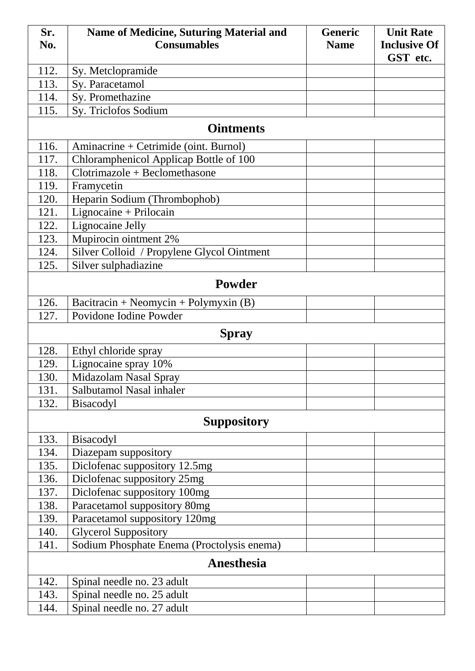| Sr.          | Name of Medicine, Suturing Material and    | <b>Generic</b> | <b>Unit Rate</b>    |  |
|--------------|--------------------------------------------|----------------|---------------------|--|
| No.          | <b>Consumables</b>                         | <b>Name</b>    | <b>Inclusive Of</b> |  |
|              |                                            |                | GST etc.            |  |
| 112.         | Sy. Metclopramide                          |                |                     |  |
| 113.         | Sy. Paracetamol                            |                |                     |  |
| 114.         | Sy. Promethazine                           |                |                     |  |
| 115.         | Sy. Triclofos Sodium                       |                |                     |  |
|              | <b>Ointments</b>                           |                |                     |  |
| 116.         | Aminacrine + Cetrimide (oint. Burnol)      |                |                     |  |
| 117.         | Chloramphenicol Applicap Bottle of 100     |                |                     |  |
| 118.         | $Clotrimazole + Beclomethasone$            |                |                     |  |
| 119.         | Framycetin                                 |                |                     |  |
| 120.         | Heparin Sodium (Thrombophob)               |                |                     |  |
| 121.         | Lignocaine + Prilocain                     |                |                     |  |
| 122.         | Lignocaine Jelly                           |                |                     |  |
| 123.         | Mupirocin ointment 2%                      |                |                     |  |
| 124.         | Silver Colloid / Propylene Glycol Ointment |                |                     |  |
| 125.         | Silver sulphadiazine                       |                |                     |  |
|              | <b>Powder</b>                              |                |                     |  |
| 126.         | Bacitracin + Neomycin + Polymyxin $(B)$    |                |                     |  |
| 127.         | Povidone Iodine Powder                     |                |                     |  |
| <b>Spray</b> |                                            |                |                     |  |
| 128.         | Ethyl chloride spray                       |                |                     |  |
| 129.         | Lignocaine spray 10%                       |                |                     |  |
| 130.         | Midazolam Nasal Spray                      |                |                     |  |
| 131.         | Salbutamol Nasal inhaler                   |                |                     |  |
| 132.         | <b>Bisacodyl</b>                           |                |                     |  |
|              | <b>Suppository</b>                         |                |                     |  |
| 133.         | <b>Bisacodyl</b>                           |                |                     |  |
| 134.         | Diazepam suppository                       |                |                     |  |
| 135.         | Diclofenac suppository 12.5mg              |                |                     |  |
| 136.         | Diclofenac suppository 25mg                |                |                     |  |
| 137.         | Diclofenac suppository 100mg               |                |                     |  |
| 138.         | Paracetamol suppository 80mg               |                |                     |  |
| 139.         | Paracetamol suppository 120mg              |                |                     |  |
| 140.         | <b>Glycerol Suppository</b>                |                |                     |  |
| 141.         | Sodium Phosphate Enema (Proctolysis enema) |                |                     |  |
|              | <b>Anesthesia</b>                          |                |                     |  |
| 142.         | Spinal needle no. 23 adult                 |                |                     |  |
| 143.         | Spinal needle no. 25 adult                 |                |                     |  |
| 144.         | Spinal needle no. 27 adult                 |                |                     |  |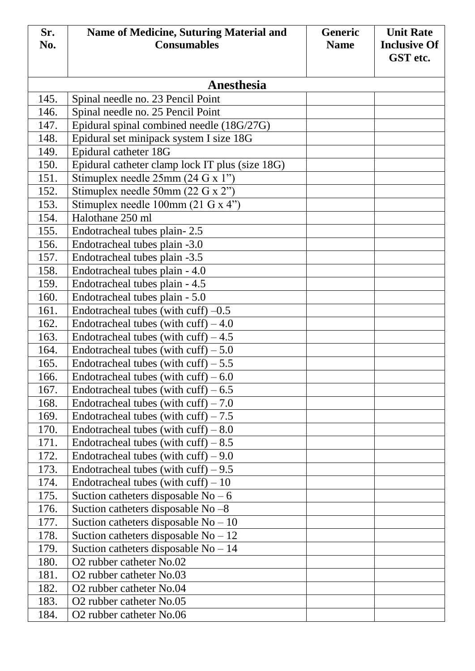| Sr.          | <b>Name of Medicine, Suturing Material and</b>                   | <b>Generic</b> | <b>Unit Rate</b>    |
|--------------|------------------------------------------------------------------|----------------|---------------------|
| No.          | <b>Consumables</b>                                               | <b>Name</b>    | <b>Inclusive Of</b> |
|              |                                                                  |                | GST etc.            |
|              |                                                                  |                |                     |
|              | Anesthesia                                                       |                |                     |
| 145.         | Spinal needle no. 23 Pencil Point                                |                |                     |
| 146.         | Spinal needle no. 25 Pencil Point                                |                |                     |
| 147.         | Epidural spinal combined needle (18G/27G)                        |                |                     |
| 148.         | Epidural set minipack system I size 18G                          |                |                     |
| 149.         | Epidural catheter 18G                                            |                |                     |
| 150.         | Epidural catheter clamp lock IT plus (size 18G)                  |                |                     |
| 151.         | Stimuplex needle $25mm(24 G x 1")$                               |                |                     |
| 152.         | Stimuplex needle 50mm $(22 \text{ G x } 2")$                     |                |                     |
| 153.         | Stimuplex needle $100 \text{mm}$ (21 G x 4")                     |                |                     |
| 154.         | Halothane 250 ml                                                 |                |                     |
| 155.         | Endotracheal tubes plain-2.5                                     |                |                     |
| 156.         | Endotracheal tubes plain -3.0                                    |                |                     |
| 157.<br>158. | Endotracheal tubes plain -3.5                                    |                |                     |
| 159.         | Endotracheal tubes plain - 4.0<br>Endotracheal tubes plain - 4.5 |                |                     |
| 160.         | Endotracheal tubes plain - 5.0                                   |                |                     |
| 161.         | Endotracheal tubes (with cuff) $-0.5$                            |                |                     |
| 162.         | Endotracheal tubes (with cuff) $-4.0$                            |                |                     |
| 163.         | Endotracheal tubes (with cuff) $-4.5$                            |                |                     |
| 164.         | Endotracheal tubes (with cuff) $-5.0$                            |                |                     |
| 165.         | Endotracheal tubes (with cuff) $-5.5$                            |                |                     |
| 166.         | Endotracheal tubes (with cuff) $-6.0$                            |                |                     |
| 167.         | Endotracheal tubes (with cuff) $-6.5$                            |                |                     |
| 168.         | Endotracheal tubes (with cuff) $-7.0$                            |                |                     |
| 169.         | Endotracheal tubes (with cuff) $-7.5$                            |                |                     |
| 170.         | Endotracheal tubes (with cuff) $-8.0$                            |                |                     |
| 171.         | Endotracheal tubes (with cuff) $-8.5$                            |                |                     |
| 172.         | Endotracheal tubes (with cuff) $-9.0$                            |                |                     |
| 173.         | Endotracheal tubes (with cuff) $-9.5$                            |                |                     |
| 174.         | Endotracheal tubes (with cuff) $-10$                             |                |                     |
| 175.         | Suction catheters disposable $No - 6$                            |                |                     |
| 176.         | Suction catheters disposable No $-8$                             |                |                     |
| 177.         | Suction catheters disposable $No - 10$                           |                |                     |
| 178.         | Suction catheters disposable $No-12$                             |                |                     |
| 179.         | Suction catheters disposable $No-14$                             |                |                     |
| 180.         | O <sub>2</sub> rubber catheter No.02                             |                |                     |
| 181.         | O2 rubber catheter No.03                                         |                |                     |
| 182.         | O2 rubber catheter No.04                                         |                |                     |
| 183.         | O <sub>2</sub> rubber catheter No.05                             |                |                     |
| 184.         | O <sub>2</sub> rubber catheter No.06                             |                |                     |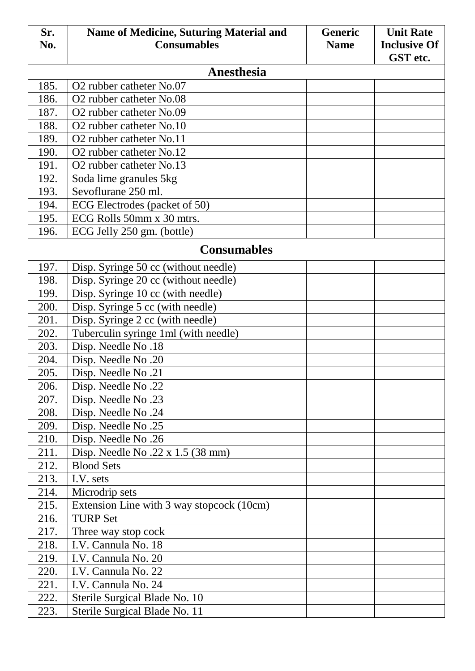| Sr.  | <b>Name of Medicine, Suturing Material and</b> | <b>Generic</b> | <b>Unit Rate</b>    |  |  |
|------|------------------------------------------------|----------------|---------------------|--|--|
| No.  | <b>Consumables</b>                             | <b>Name</b>    | <b>Inclusive Of</b> |  |  |
|      | GST etc.<br><b>Anesthesia</b>                  |                |                     |  |  |
| 185. | O2 rubber catheter No.07                       |                |                     |  |  |
| 186. | O2 rubber catheter No.08                       |                |                     |  |  |
| 187. | O2 rubber catheter No.09                       |                |                     |  |  |
| 188. | O2 rubber catheter No.10                       |                |                     |  |  |
| 189. | O <sub>2</sub> rubber catheter No.11           |                |                     |  |  |
| 190. | O <sub>2</sub> rubber catheter No.12           |                |                     |  |  |
| 191. | O2 rubber catheter No.13                       |                |                     |  |  |
| 192. | Soda lime granules 5kg                         |                |                     |  |  |
| 193. | Sevoflurane 250 ml.                            |                |                     |  |  |
| 194. | ECG Electrodes (packet of 50)                  |                |                     |  |  |
| 195. | ECG Rolls 50mm x 30 mtrs.                      |                |                     |  |  |
| 196. | ECG Jelly 250 gm. (bottle)                     |                |                     |  |  |
|      | <b>Consumables</b>                             |                |                     |  |  |
| 197. | Disp. Syringe 50 cc (without needle)           |                |                     |  |  |
| 198. | Disp. Syringe 20 cc (without needle)           |                |                     |  |  |
| 199. | Disp. Syringe 10 cc (with needle)              |                |                     |  |  |
| 200. | Disp. Syringe 5 cc (with needle)               |                |                     |  |  |
| 201. | Disp. Syringe 2 cc (with needle)               |                |                     |  |  |
| 202. | Tuberculin syringe 1ml (with needle)           |                |                     |  |  |
| 203. | Disp. Needle No.18                             |                |                     |  |  |
| 204. | Disp. Needle No.20                             |                |                     |  |  |
| 205. | Disp. Needle No.21                             |                |                     |  |  |
| 206. | Disp. Needle No.22                             |                |                     |  |  |
| 207. | Disp. Needle No.23                             |                |                     |  |  |
| 208. | Disp. Needle No.24                             |                |                     |  |  |
| 209. | Disp. Needle No.25                             |                |                     |  |  |
| 210. | Disp. Needle No.26                             |                |                     |  |  |
| 211. | Disp. Needle No. $22 \times 1.5$ (38 mm)       |                |                     |  |  |
| 212. | <b>Blood Sets</b>                              |                |                     |  |  |
| 213. | I.V. sets                                      |                |                     |  |  |
| 214. | Microdrip sets                                 |                |                     |  |  |
| 215. | Extension Line with 3 way stopcock (10cm)      |                |                     |  |  |
| 216. | <b>TURP Set</b>                                |                |                     |  |  |
| 217. | Three way stop cock                            |                |                     |  |  |
| 218. | I.V. Cannula No. 18                            |                |                     |  |  |
| 219. | I.V. Cannula No. 20                            |                |                     |  |  |
| 220. | I.V. Cannula No. 22                            |                |                     |  |  |
| 221. | I.V. Cannula No. 24                            |                |                     |  |  |
| 222. | Sterile Surgical Blade No. 10                  |                |                     |  |  |
| 223. | Sterile Surgical Blade No. 11                  |                |                     |  |  |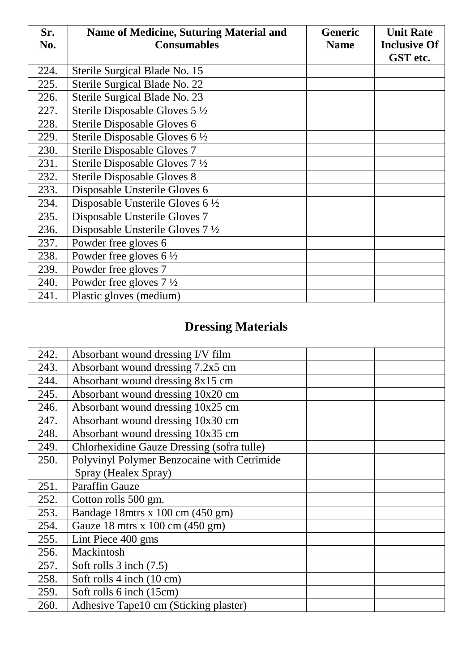| Sr.  | <b>Name of Medicine, Suturing Material and</b> | <b>Generic</b> | <b>Unit Rate</b>    |
|------|------------------------------------------------|----------------|---------------------|
| No.  | <b>Consumables</b>                             | <b>Name</b>    | <b>Inclusive Of</b> |
|      |                                                |                | GST etc.            |
| 224. | Sterile Surgical Blade No. 15                  |                |                     |
| 225. | Sterile Surgical Blade No. 22                  |                |                     |
| 226. | Sterile Surgical Blade No. 23                  |                |                     |
| 227. | Sterile Disposable Gloves 5 1/2                |                |                     |
| 228. | Sterile Disposable Gloves 6                    |                |                     |
| 229. | Sterile Disposable Gloves 6 1/2                |                |                     |
| 230. | Sterile Disposable Gloves 7                    |                |                     |
| 231. | Sterile Disposable Gloves 7 1/2                |                |                     |
| 232. | <b>Sterile Disposable Gloves 8</b>             |                |                     |
| 233. | Disposable Unsterile Gloves 6                  |                |                     |
| 234. | Disposable Unsterile Gloves $6\frac{1}{2}$     |                |                     |
| 235. | Disposable Unsterile Gloves 7                  |                |                     |
| 236. | Disposable Unsterile Gloves $7\frac{1}{2}$     |                |                     |
| 237. | Powder free gloves 6                           |                |                     |
| 238. | Powder free gloves $6\frac{1}{2}$              |                |                     |
| 239. | Powder free gloves 7                           |                |                     |
| 240. | Powder free gloves $7\frac{1}{2}$              |                |                     |
| 241. | Plastic gloves (medium)                        |                |                     |
|      | <b>Dressing Materials</b>                      |                |                     |
| 242. | Absorbant wound dressing I/V film              |                |                     |
| 243. | Absorbant wound dressing 7.2x5 cm              |                |                     |
| 244. | Absorbant wound dressing 8x15 cm               |                |                     |
| 245. | Absorbant wound dressing 10x20 cm              |                |                     |
| 246. | Absorbant wound dressing 10x25 cm              |                |                     |
| 247. | Absorbant wound dressing 10x30 cm              |                |                     |
| 248. | Absorbant wound dressing 10x35 cm              |                |                     |
| 249. | Chlorhexidine Gauze Dressing (sofra tulle)     |                |                     |
| 250. | Polyvinyl Polymer Benzocaine with Cetrimide    |                |                     |
|      | Spray (Healex Spray)                           |                |                     |
| 251. | <b>Paraffin Gauze</b>                          |                |                     |
| 252. | Cotton rolls 500 gm.                           |                |                     |
| 253. | Bandage 18mtrs x 100 cm (450 gm)               |                |                     |
| 254. | Gauze 18 mtrs x 100 cm (450 gm)                |                |                     |
| 255. | Lint Piece 400 gms                             |                |                     |
| 256. | Mackintosh                                     |                |                     |
| 257. | Soft rolls 3 inch (7.5)                        |                |                     |
| 258. | Soft rolls 4 inch (10 cm)                      |                |                     |
| 259. | Soft rolls 6 inch (15cm)                       |                |                     |
| 260. | Adhesive Tape10 cm (Sticking plaster)          |                |                     |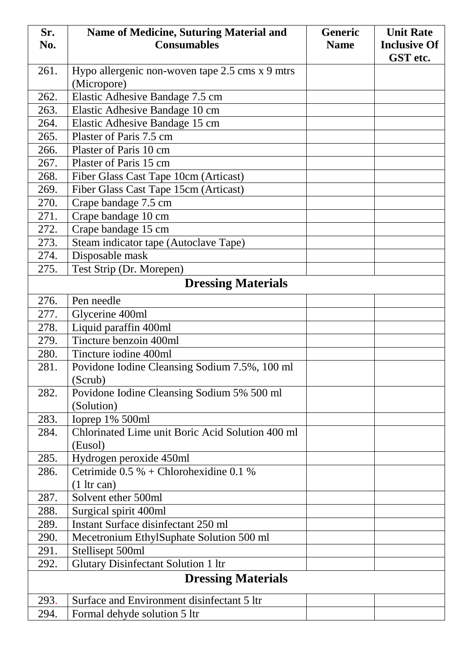| Sr.  | Name of Medicine, Suturing Material and          | <b>Generic</b> | <b>Unit Rate</b>    |
|------|--------------------------------------------------|----------------|---------------------|
| No.  | <b>Consumables</b>                               | <b>Name</b>    | <b>Inclusive Of</b> |
|      |                                                  |                | GST etc.            |
| 261. | Hypo allergenic non-woven tape 2.5 cms x 9 mtrs  |                |                     |
|      | (Micropore)                                      |                |                     |
| 262. | Elastic Adhesive Bandage 7.5 cm                  |                |                     |
| 263. | Elastic Adhesive Bandage 10 cm                   |                |                     |
| 264. | Elastic Adhesive Bandage 15 cm                   |                |                     |
| 265. | Plaster of Paris 7.5 cm                          |                |                     |
| 266. | Plaster of Paris 10 cm                           |                |                     |
| 267. | Plaster of Paris 15 cm                           |                |                     |
| 268. | Fiber Glass Cast Tape 10cm (Articast)            |                |                     |
| 269. | Fiber Glass Cast Tape 15cm (Articast)            |                |                     |
| 270. | Crape bandage 7.5 cm                             |                |                     |
| 271. | Crape bandage 10 cm                              |                |                     |
| 272. | Crape bandage 15 cm                              |                |                     |
| 273. | Steam indicator tape (Autoclave Tape)            |                |                     |
| 274. | Disposable mask                                  |                |                     |
| 275. | Test Strip (Dr. Morepen)                         |                |                     |
|      | <b>Dressing Materials</b>                        |                |                     |
| 276. | Pen needle                                       |                |                     |
| 277. | Glycerine 400ml                                  |                |                     |
| 278. | Liquid paraffin 400ml                            |                |                     |
| 279. | Tincture benzoin 400ml                           |                |                     |
| 280. | Tincture iodine 400ml                            |                |                     |
| 281. | Povidone Iodine Cleansing Sodium 7.5%, 100 ml    |                |                     |
|      | (Scrub)                                          |                |                     |
| 282. | Povidone Iodine Cleansing Sodium 5% 500 ml       |                |                     |
|      | (Solution)                                       |                |                     |
| 283. | Ioprep 1% 500ml                                  |                |                     |
| 284. | Chlorinated Lime unit Boric Acid Solution 400 ml |                |                     |
|      | (Eusol)                                          |                |                     |
| 285. | Hydrogen peroxide 450ml                          |                |                     |
| 286. | Cetrimide $0.5 %$ + Chlorohexidine 0.1 %         |                |                     |
|      | $(1 \text{ hr can})$                             |                |                     |
| 287. | Solvent ether 500ml                              |                |                     |
| 288. | Surgical spirit 400ml                            |                |                     |
| 289. | Instant Surface disinfectant 250 ml              |                |                     |
| 290. | Mecetronium EthylSuphate Solution 500 ml         |                |                     |
| 291. | Stellisept 500ml                                 |                |                     |
| 292. | <b>Glutary Disinfectant Solution 1 ltr</b>       |                |                     |
|      | <b>Dressing Materials</b>                        |                |                     |
| 293. | Surface and Environment disinfectant 5 ltr       |                |                     |
| 294. | Formal dehyde solution 5 ltr                     |                |                     |
|      |                                                  |                |                     |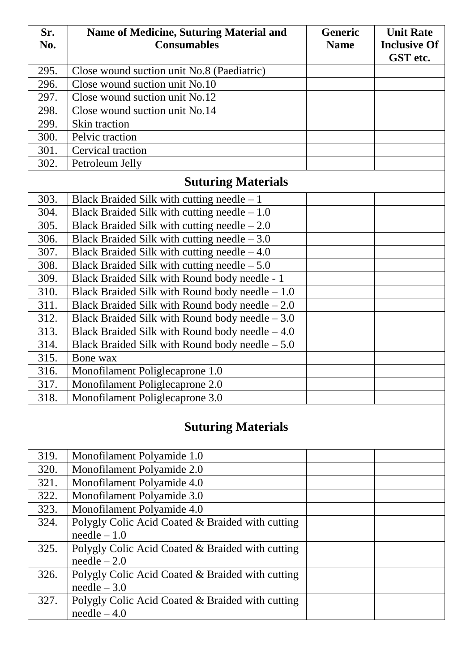| Sr.  | <b>Name of Medicine, Suturing Material and</b>   | <b>Generic</b> | <b>Unit Rate</b>    |
|------|--------------------------------------------------|----------------|---------------------|
| No.  | <b>Consumables</b>                               | <b>Name</b>    | <b>Inclusive Of</b> |
|      |                                                  |                | GST etc.            |
| 295. | Close wound suction unit No.8 (Paediatric)       |                |                     |
| 296. | Close wound suction unit No.10                   |                |                     |
| 297. | Close wound suction unit No.12                   |                |                     |
| 298. | Close wound suction unit No.14                   |                |                     |
| 299. | Skin traction                                    |                |                     |
| 300. | Pelvic traction                                  |                |                     |
| 301. | Cervical traction                                |                |                     |
| 302. | Petroleum Jelly                                  |                |                     |
|      | <b>Suturing Materials</b>                        |                |                     |
| 303. | Black Braided Silk with cutting needle $-1$      |                |                     |
| 304. | Black Braided Silk with cutting needle $-1.0$    |                |                     |
| 305. | Black Braided Silk with cutting needle $-2.0$    |                |                     |
| 306. | Black Braided Silk with cutting needle $-3.0$    |                |                     |
| 307. | Black Braided Silk with cutting needle $-4.0$    |                |                     |
| 308. | Black Braided Silk with cutting needle $-5.0$    |                |                     |
| 309. | Black Braided Silk with Round body needle - 1    |                |                     |
| 310. | Black Braided Silk with Round body needle $-1.0$ |                |                     |
| 311. | Black Braided Silk with Round body needle $-2.0$ |                |                     |
| 312. | Black Braided Silk with Round body needle $-3.0$ |                |                     |
| 313. | Black Braided Silk with Round body needle $-4.0$ |                |                     |
| 314. | Black Braided Silk with Round body needle $-5.0$ |                |                     |
| 315. | Bone wax                                         |                |                     |
| 316. | Monofilament Poliglecaprone 1.0                  |                |                     |
| 317. | Monofilament Poliglecaprone 2.0                  |                |                     |
| 318. | Monofilament Poliglecaprone 3.0                  |                |                     |
|      | <b>Suturing Materials</b>                        |                |                     |
| 319. | Monofilament Polyamide 1.0                       |                |                     |
| 320. | Monofilament Polyamide 2.0                       |                |                     |
| 321. | Monofilament Polyamide 4.0                       |                |                     |
| 322. | Monofilament Polyamide 3.0                       |                |                     |
| 323. | Monofilament Polyamide 4.0                       |                |                     |
| 324. | Polygly Colic Acid Coated & Braided with cutting |                |                     |
|      | $needle -1.0$                                    |                |                     |
| 325. | Polygly Colic Acid Coated & Braided with cutting |                |                     |
|      | $needle -2.0$                                    |                |                     |
| 326. | Polygly Colic Acid Coated & Braided with cutting |                |                     |
|      | $needle -3.0$                                    |                |                     |
| 327. | Polygly Colic Acid Coated & Braided with cutting |                |                     |
|      | $\text{ needle} - 4.0$                           |                |                     |